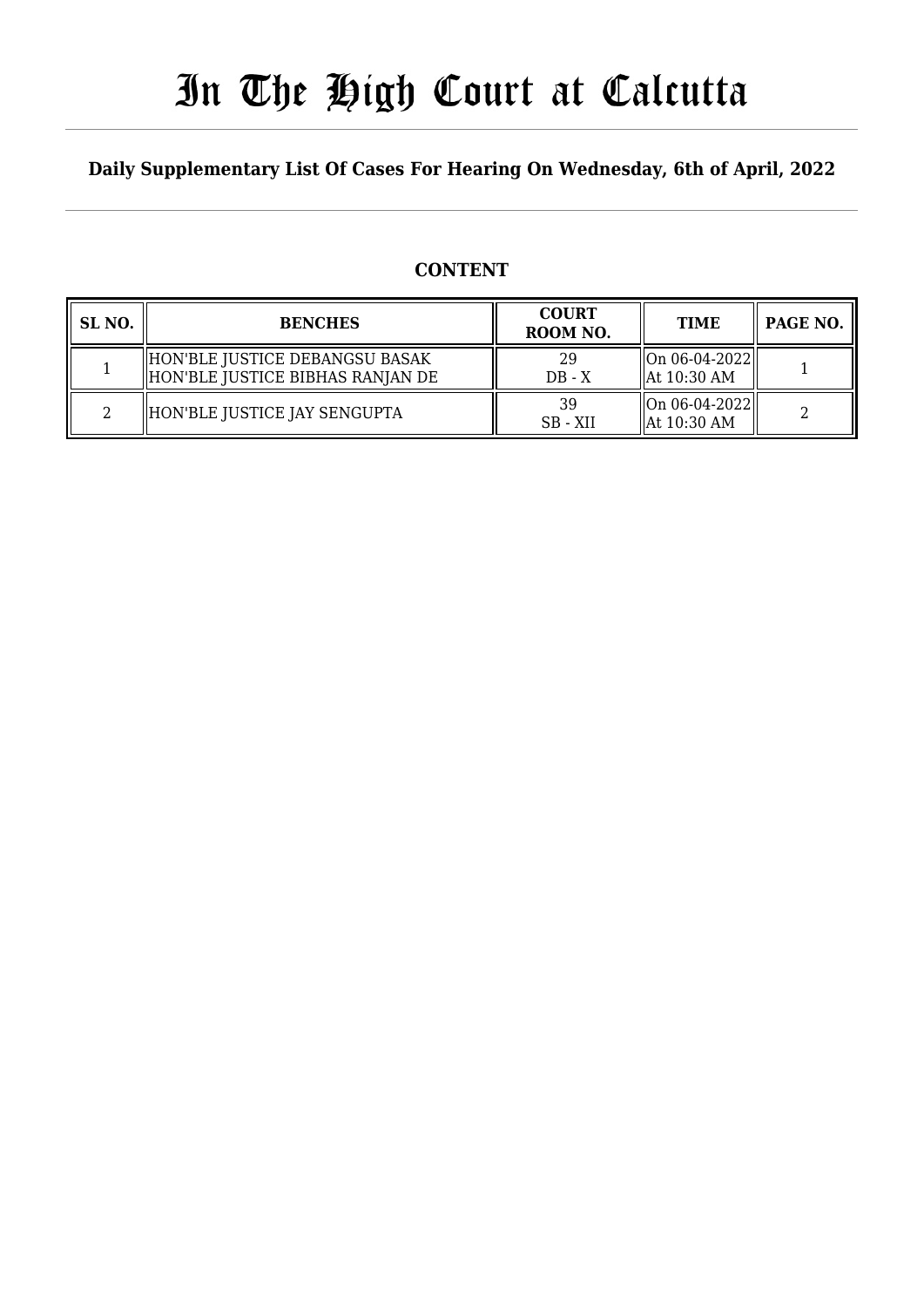# In The High Court at Calcutta

### **Daily Supplementary List Of Cases For Hearing On Wednesday, 6th of April, 2022**

### **CONTENT**

| SL <sub>NO.</sub> | <b>BENCHES</b>                                                        | <b>COURT</b><br>ROOM NO. | <b>TIME</b>                                                         | PAGE NO. |
|-------------------|-----------------------------------------------------------------------|--------------------------|---------------------------------------------------------------------|----------|
|                   | HON'BLE JUSTICE DEBANGSU BASAK <br>  HON'BLE JUSTICE BIBHAS RANJAN DE | 29<br>$DB - X$           | $\left\  \text{On } 06 - 04 - 2022 \right\ $<br>$\vert$ At 10:30 AM |          |
|                   | HON'BLE JUSTICE JAY SENGUPTA                                          | 39<br>SB - XII           | $\ $ On 06-04-2022 $\ $<br>At 10:30 AM                              |          |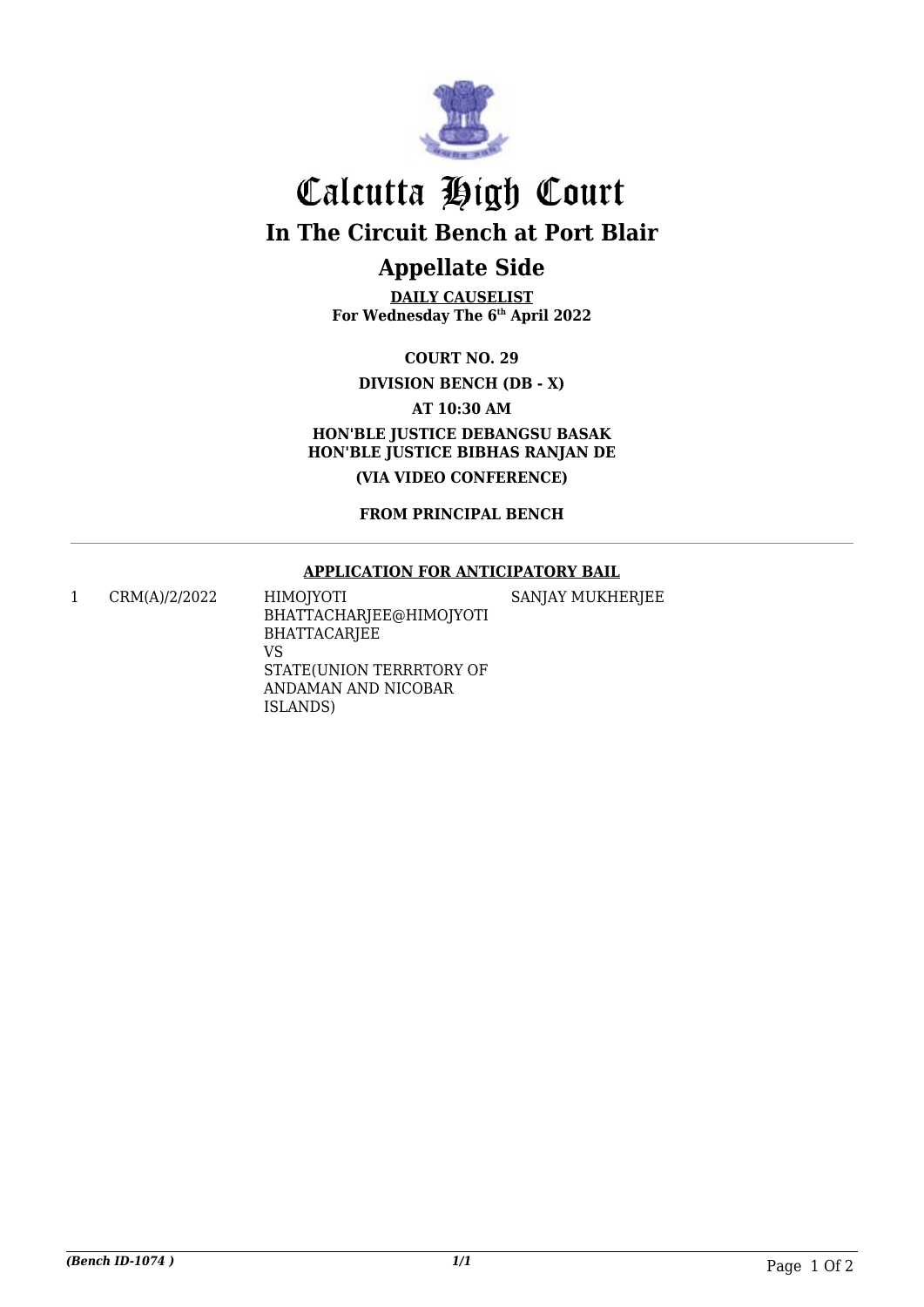

# Calcutta High Court

**In The Circuit Bench at Port Blair**

## **Appellate Side**

**DAILY CAUSELIST For Wednesday The 6th April 2022**

#### **COURT NO. 29**

**DIVISION BENCH (DB - X)**

#### **AT 10:30 AM**

**HON'BLE JUSTICE DEBANGSU BASAK HON'BLE JUSTICE BIBHAS RANJAN DE**

**(VIA VIDEO CONFERENCE)**

#### **FROM PRINCIPAL BENCH**

#### **APPLICATION FOR ANTICIPATORY BAIL**

1 CRM(A)/2/2022 HIMOJYOTI BHATTACHARJEE@HIMOJYOTI BHATTACARJEE VS STATE(UNION TERRRTORY OF ANDAMAN AND NICOBAR SANJAY MUKHERJEE

ISLANDS)